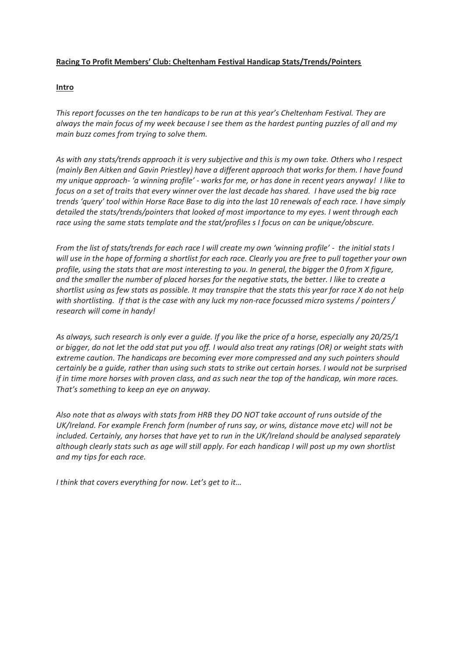#### **Racing To Profit Members' Club: Cheltenham Festival Handicap Stats/Trends/Pointers**

#### **Intro**

*This report focusses on the ten handicaps to be run at this year's Cheltenham Festival. They are always the main focus of my week because I see them as the hardest punting puzzles of all and my main buzz comes from trying to solve them.* 

*As with any stats/trends approach it is very subjective and this is my own take. Others who I respect (mainly Ben Aitken and Gavin Priestley) have a different approach that works for them. I have found my unique approach- 'a winning profile' - works for me, or has done in recent years anyway! I like to focus on a set of traits that every winner over the last decade has shared. I have used the big race trends 'query' tool within Horse Race Base to dig into the last 10 renewals of each race. I have simply detailed the stats/trends/pointers that looked of most importance to my eyes. I went through each race using the same stats template and the stat/profiles s I focus on can be unique/obscure.* 

*From the list of stats/trends for each race I will create my own 'winning profile' - the initial stats I will use in the hope of forming a shortlist for each race. Clearly you are free to pull together your own profile, using the stats that are most interesting to you. In general, the bigger the 0 from X figure, and the smaller the number of placed horses for the negative stats, the better. I like to create a shortlist using as few stats as possible. It may transpire that the stats this year for race X do not help with shortlisting. If that is the case with any luck my non-race focussed micro systems / pointers / research will come in handy!* 

*As always, such research is only ever a guide. If you like the price of a horse, especially any 20/25/1 or bigger, do not let the odd stat put you off. I would also treat any ratings (OR) or weight stats with extreme caution. The handicaps are becoming ever more compressed and any such pointers should certainly be a guide, rather than using such stats to strike out certain horses. I would not be surprised if in time more horses with proven class, and as such near the top of the handicap, win more races. That's something to keep an eye on anyway.* 

*Also note that as always with stats from HRB they DO NOT take account of runs outside of the UK/Ireland. For example French form (number of runs say, or wins, distance move etc) will not be included. Certainly, any horses that have yet to run in the UK/Ireland should be analysed separately although clearly stats such as age will still apply. For each handicap I will post up my own shortlist and my tips for each race.* 

*I think that covers everything for now. Let's get to it…*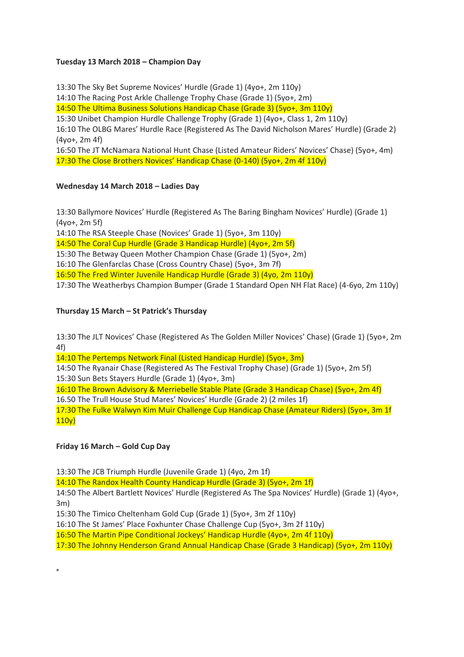#### **Tuesday 13 March 2018 – Champion Day**

13:30 The Sky Bet Supreme Novices' Hurdle (Grade 1) (4yo+, 2m 110y) 14:10 The Racing Post Arkle Challenge Trophy Chase (Grade 1) (5yo+, 2m) 14:50 The Ultima Business Solutions Handicap Chase (Grade 3) (5yo+, 3m 110y) 15:30 Unibet Champion Hurdle Challenge Trophy (Grade 1) (4yo+, Class 1, 2m 110y) 16:10 The OLBG Mares' Hurdle Race (Registered As The David Nicholson Mares' Hurdle) (Grade 2) (4yo+, 2m 4f) 16:50 The JT McNamara National Hunt Chase (Listed Amateur Riders' Novices' Chase) (5yo+, 4m) 17:30 The Close Brothers Novices' Handicap Chase (0-140) (5yo+, 2m 4f 110y)

#### **Wednesday 14 March 2018 – Ladies Day**

13:30 Ballymore Novices' Hurdle (Registered As The Baring Bingham Novices' Hurdle) (Grade 1) (4yo+, 2m 5f)

14:10 The RSA Steeple Chase (Novices' Grade 1) (5yo+, 3m 110y)

14:50 The Coral Cup Hurdle (Grade 3 Handicap Hurdle) (4yo+, 2m 5f)

15:30 The Betway Queen Mother Champion Chase (Grade 1) (5yo+, 2m)

16:10 The Glenfarclas Chase (Cross Country Chase) (5yo+, 3m 7f)

16:50 The Fred Winter Juvenile Handicap Hurdle (Grade 3) (4yo, 2m 110y)

17:30 The Weatherbys Champion Bumper (Grade 1 Standard Open NH Flat Race) (4-6yo, 2m 110y)

#### **Thursday 15 March – St Patrick's Thursday**

13:30 The JLT Novices' Chase (Registered As The Golden Miller Novices' Chase) (Grade 1) (5yo+, 2m 4f)

14:10 The Pertemps Network Final (Listed Handicap Hurdle) (5yo+, 3m)

14:50 The Ryanair Chase (Registered As The Festival Trophy Chase) (Grade 1) (5yo+, 2m 5f) 15:30 Sun Bets Stayers Hurdle (Grade 1) (4yo+, 3m)

16:10 The Brown Advisory & Merriebelle Stable Plate (Grade 3 Handicap Chase) (5yo+, 2m 4f)

16.50 The Trull House Stud Mares' Novices' Hurdle (Grade 2) (2 miles 1f)

17:30 The Fulke Walwyn Kim Muir Challenge Cup Handicap Chase (Amateur Riders) (5yo+, 3m 1f 110y)

**Friday 16 March – Gold Cup Day**

\*

13:30 The JCB Triumph Hurdle (Juvenile Grade 1) (4yo, 2m 1f)

14:10 The Randox Health County Handicap Hurdle (Grade 3) (5yo+, 2m 1f)

14:50 The Albert Bartlett Novices' Hurdle (Registered As The Spa Novices' Hurdle) (Grade 1) (4yo+, 3m)

15:30 The Timico Cheltenham Gold Cup (Grade 1) (5yo+, 3m 2f 110y)

16:10 The St James' Place Foxhunter Chase Challenge Cup (5yo+, 3m 2f 110y)

16:50 The Martin Pipe Conditional Jockeys' Handicap Hurdle (4yo+, 2m 4f 110y)

17:30 The Johnny Henderson Grand Annual Handicap Chase (Grade 3 Handicap) (5yo+, 2m 110y)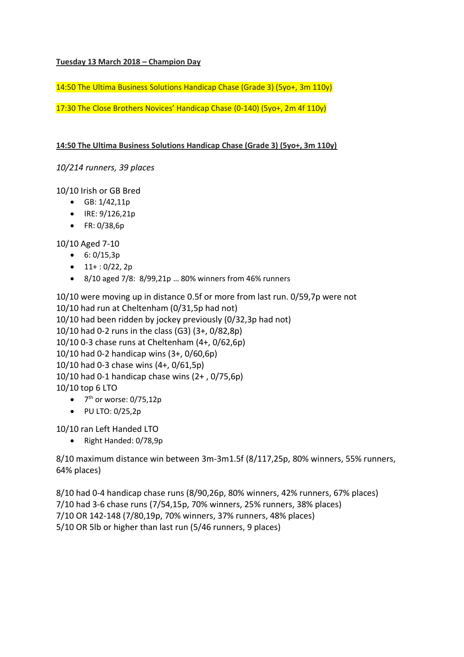### **Tuesday 13 March 2018 – Champion Day**

14:50 The Ultima Business Solutions Handicap Chase (Grade 3) (5yo+, 3m 110y)

17:30 The Close Brothers Novices' Handicap Chase (0-140) (5yo+, 2m 4f 110y)

### **14:50 The Ultima Business Solutions Handicap Chase (Grade 3) (5yo+, 3m 110y)**

*10/214 runners, 39 places* 

10/10 Irish or GB Bred

- GB: 1/42,11p
- IRE: 9/126,21p
- FR: 0/38,6p

10/10 Aged 7-10

- $6: 0/15,3p$
- $11+:0/22, 2p$
- 8/10 aged 7/8: 8/99,21p … 80% winners from 46% runners

10/10 were moving up in distance 0.5f or more from last run. 0/59,7p were not 10/10 had run at Cheltenham (0/31,5p had not) 10/10 had been ridden by jockey previously (0/32,3p had not) 10/10 had 0-2 runs in the class (G3) (3+, 0/82,8p) 10/10 0-3 chase runs at Cheltenham (4+, 0/62,6p) 10/10 had 0-2 handicap wins (3+, 0/60,6p) 10/10 had 0-3 chase wins (4+, 0/61,5p) 10/10 had 0-1 handicap chase wins (2+ , 0/75,6p) 10/10 top 6 LTO  $\bullet$  7<sup>th</sup> or worse: 0/75,12p

 $\bullet$  PU LTO: 0/25,2p

10/10 ran Left Handed LTO

• Right Handed: 0/78,9p

8/10 maximum distance win between 3m-3m1.5f (8/117,25p, 80% winners, 55% runners, 64% places)

8/10 had 0-4 handicap chase runs (8/90,26p, 80% winners, 42% runners, 67% places) 7/10 had 3-6 chase runs (7/54,15p, 70% winners, 25% runners, 38% places) 7/10 OR 142-148 (7/80,19p, 70% winners, 37% runners, 48% places) 5/10 OR 5lb or higher than last run (5/46 runners, 9 places)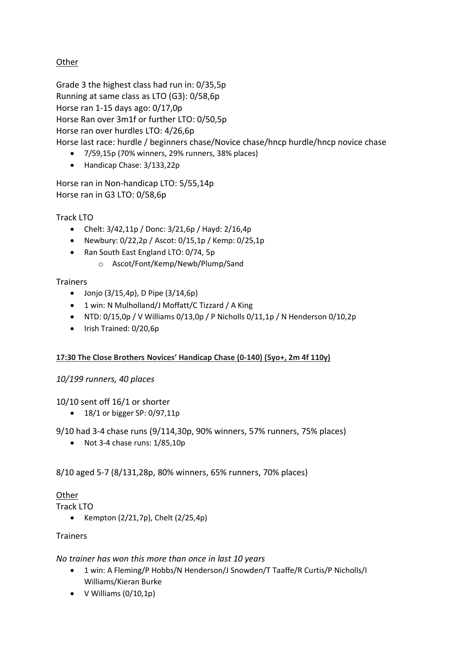# **Other**

Grade 3 the highest class had run in: 0/35,5p Running at same class as LTO (G3): 0/58,6p Horse ran 1-15 days ago: 0/17,0p Horse Ran over 3m1f or further LTO: 0/50,5p Horse ran over hurdles LTO: 4/26,6p Horse last race: hurdle / beginners chase/Novice chase/hncp hurdle/hncp novice chase

- 7/59,15p (70% winners, 29% runners, 38% places)
- Handicap Chase: 3/133,22p

Horse ran in Non-handicap LTO: 5/55,14p Horse ran in G3 LTO: 0/58,6p

Track LTO

- Chelt: 3/42,11p / Donc: 3/21,6p / Hayd: 2/16,4p
- Newbury: 0/22,2p / Ascot: 0/15,1p / Kemp: 0/25,1p
- Ran South East England LTO: 0/74, 5p
	- o Ascot/Font/Kemp/Newb/Plump/Sand

# **Trainers**

- Jonjo (3/15,4p), D Pipe (3/14,6p)
- 1 win: N Mulholland/J Moffatt/C Tizzard / A King
- NTD: 0/15,0p / V Williams 0/13,0p / P Nicholls 0/11,1p / N Henderson 0/10,2p
- Irish Trained: 0/20,6p

# **17:30 The Close Brothers Novices' Handicap Chase (0-140) (5yo+, 2m 4f 110y)**

# *10/199 runners, 40 places*

10/10 sent off 16/1 or shorter

• 18/1 or bigger SP: 0/97,11p

9/10 had 3-4 chase runs (9/114,30p, 90% winners, 57% runners, 75% places)

• Not 3-4 chase runs: 1/85.10p

# 8/10 aged 5-7 (8/131,28p, 80% winners, 65% runners, 70% places)

# **Other**

Track LTO

• Kempton (2/21,7p), Chelt (2/25,4p)

# **Trainers**

# *No trainer has won this more than once in last 10 years*

- 1 win: A Fleming/P Hobbs/N Henderson/J Snowden/T Taaffe/R Curtis/P Nicholls/I Williams/Kieran Burke
- $\bullet$  V Williams (0/10,1p)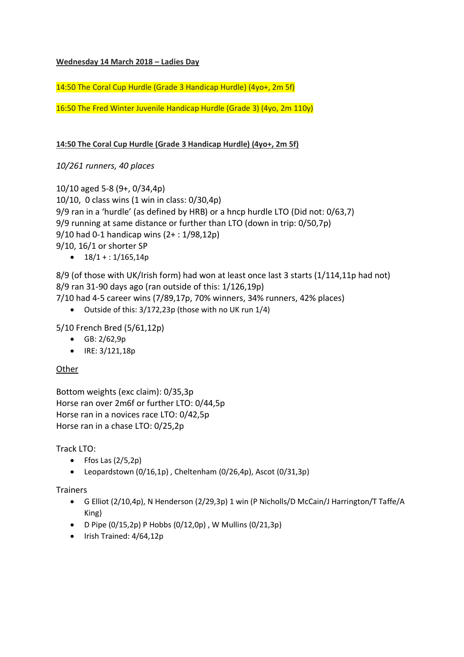### **Wednesday 14 March 2018 – Ladies Day**

14:50 The Coral Cup Hurdle (Grade 3 Handicap Hurdle) (4yo+, 2m 5f)

16:50 The Fred Winter Juvenile Handicap Hurdle (Grade 3) (4yo, 2m 110y)

## **14:50 The Coral Cup Hurdle (Grade 3 Handicap Hurdle) (4yo+, 2m 5f)**

*10/261 runners, 40 places*

10/10 aged 5-8 (9+, 0/34,4p) 10/10, 0 class wins (1 win in class: 0/30,4p) 9/9 ran in a 'hurdle' (as defined by HRB) or a hncp hurdle LTO (Did not: 0/63,7) 9/9 running at same distance or further than LTO (down in trip: 0/50,7p) 9/10 had 0-1 handicap wins (2+ : 1/98,12p) 9/10, 16/1 or shorter SP

•  $18/1 : 1/165,14p$ 

8/9 (of those with UK/Irish form) had won at least once last 3 starts (1/114,11p had not) 8/9 ran 31-90 days ago (ran outside of this: 1/126,19p)

7/10 had 4-5 career wins (7/89,17p, 70% winners, 34% runners, 42% places)

• Outside of this: 3/172,23p (those with no UK run 1/4)

5/10 French Bred (5/61,12p)

- GB: 2/62,9p
- IRE: 3/121,18p

# Other

Bottom weights (exc claim): 0/35,3p Horse ran over 2m6f or further LTO: 0/44,5p Horse ran in a novices race LTO: 0/42,5p Horse ran in a chase LTO: 0/25,2p

Track LTO:

- $\bullet$  Ffos Las (2/5,2p)
- Leopardstown (0/16,1p) , Cheltenham (0/26,4p), Ascot (0/31,3p)

Trainers

- G Elliot (2/10,4p), N Henderson (2/29,3p) 1 win (P Nicholls/D McCain/J Harrington/T Taffe/A King)
- D Pipe (0/15,2p) P Hobbs (0/12,0p) , W Mullins (0/21,3p)
- Irish Trained: 4/64,12p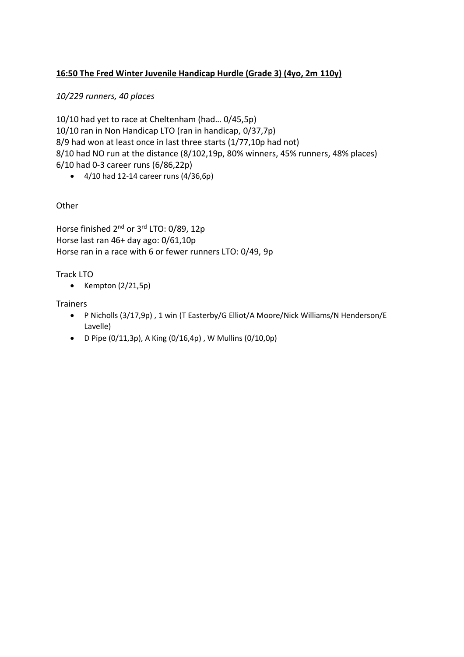# **16:50 The Fred Winter Juvenile Handicap Hurdle (Grade 3) (4yo, 2m 110y)**

# *10/229 runners, 40 places*

10/10 had yet to race at Cheltenham (had… 0/45,5p) 10/10 ran in Non Handicap LTO (ran in handicap, 0/37,7p) 8/9 had won at least once in last three starts (1/77,10p had not) 8/10 had NO run at the distance (8/102,19p, 80% winners, 45% runners, 48% places) 6/10 had 0-3 career runs (6/86,22p)

•  $4/10$  had 12-14 career runs  $(4/36,6p)$ 

## **Other**

Horse finished 2<sup>nd</sup> or 3<sup>rd</sup> LTO: 0/89, 12p Horse last ran 46+ day ago: 0/61,10p Horse ran in a race with 6 or fewer runners LTO: 0/49, 9p

### Track LTO

• Kempton  $(2/21,5p)$ 

### **Trainers**

- P Nicholls (3/17,9p) , 1 win (T Easterby/G Elliot/A Moore/Nick Williams/N Henderson/E Lavelle)
- D Pipe  $(0/11,3p)$ , A King  $(0/16,4p)$ , W Mullins  $(0/10,0p)$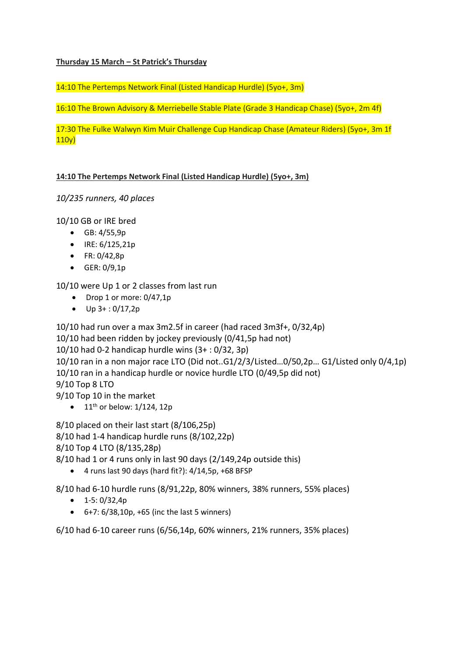### **Thursday 15 March – St Patrick's Thursday**

14:10 The Pertemps Network Final (Listed Handicap Hurdle) (5yo+, 3m)

16:10 The Brown Advisory & Merriebelle Stable Plate (Grade 3 Handicap Chase) (5yo+, 2m 4f)

17:30 The Fulke Walwyn Kim Muir Challenge Cup Handicap Chase (Amateur Riders) (5yo+, 3m 1f 110y)

**14:10 The Pertemps Network Final (Listed Handicap Hurdle) (5yo+, 3m)**

*10/235 runners, 40 places*

10/10 GB or IRE bred

- GB: 4/55,9p
- IRE: 6/125,21p
- FR: 0/42,8p
- GER: 0/9,1p

# 10/10 were Up 1 or 2 classes from last run

- Drop 1 or more: 0/47,1p
- $Up 3 + : 0/17, 2p$

10/10 had run over a max 3m2.5f in career (had raced 3m3f+, 0/32,4p)

10/10 had been ridden by jockey previously (0/41,5p had not)

10/10 had 0-2 handicap hurdle wins (3+ : 0/32, 3p)

10/10 ran in a non major race LTO (Did not..G1/2/3/Listed…0/50,2p… G1/Listed only 0/4,1p) 10/10 ran in a handicap hurdle or novice hurdle LTO (0/49,5p did not)

9/10 Top 8 LTO

9/10 Top 10 in the market

 $\bullet$  11<sup>th</sup> or below: 1/124, 12p

8/10 placed on their last start (8/106,25p)

8/10 had 1-4 handicap hurdle runs (8/102,22p)

8/10 Top 4 LTO (8/135,28p)

8/10 had 1 or 4 runs only in last 90 days (2/149,24p outside this)

• 4 runs last 90 days (hard fit?): 4/14,5p, +68 BFSP

8/10 had 6-10 hurdle runs (8/91,22p, 80% winners, 38% runners, 55% places)

- $\bullet$  1-5: 0/32,4p
- 6+7: 6/38,10p, +65 (inc the last 5 winners)

6/10 had 6-10 career runs (6/56,14p, 60% winners, 21% runners, 35% places)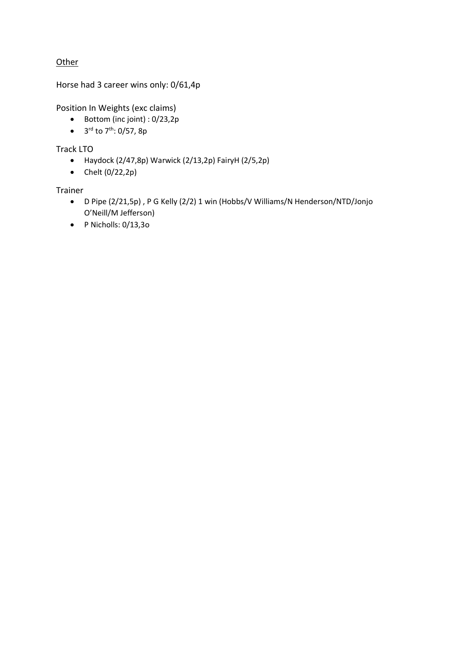**Other** 

Horse had 3 career wins only: 0/61,4p

Position In Weights (exc claims)

- Bottom (inc joint) : 0/23,2p
- $\bullet$  3<sup>rd</sup> to 7<sup>th</sup>: 0/57, 8p

Track LTO

- Haydock  $(2/47,8p)$  Warwick  $(2/13,2p)$  FairyH $(2/5,2p)$
- Chelt  $(0/22,2p)$

Trainer

- D Pipe (2/21,5p) , P G Kelly (2/2) 1 win (Hobbs/V Williams/N Henderson/NTD/Jonjo O'Neill/M Jefferson)
- P Nicholls: 0/13,3o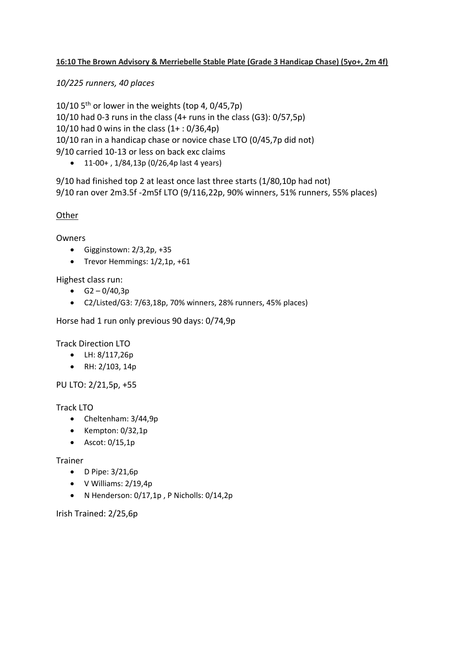## **16:10 The Brown Advisory & Merriebelle Stable Plate (Grade 3 Handicap Chase) (5yo+, 2m 4f)**

# *10/225 runners, 40 places*

10/10  $5<sup>th</sup>$  or lower in the weights (top 4, 0/45,7p) 10/10 had 0-3 runs in the class (4+ runs in the class (G3): 0/57,5p) 10/10 had 0 wins in the class (1+ : 0/36,4p) 10/10 ran in a handicap chase or novice chase LTO (0/45,7p did not) 9/10 carried 10-13 or less on back exc claims

• 11-00+ , 1/84,13p (0/26,4p last 4 years)

9/10 had finished top 2 at least once last three starts (1/80,10p had not) 9/10 ran over 2m3.5f -2m5f LTO (9/116,22p, 90% winners, 51% runners, 55% places)

## **Other**

**Owners** 

- Gigginstown: 2/3,2p, +35
- Trevor Hemmings:  $1/2,1p, +61$

Highest class run:

- $G2 0/40, 3p$
- C2/Listed/G3: 7/63,18p, 70% winners, 28% runners, 45% places)

Horse had 1 run only previous 90 days: 0/74,9p

Track Direction LTO

- LH: 8/117,26p
- RH: 2/103, 14p

PU LTO: 2/21,5p, +55

### Track LTO

- Cheltenham: 3/44,9p
- Kempton: 0/32,1p
- Ascot: 0/15,1p

### Trainer

- D Pipe: 3/21,6p
- V Williams: 2/19,4p
- N Henderson: 0/17,1p , P Nicholls: 0/14,2p

Irish Trained: 2/25,6p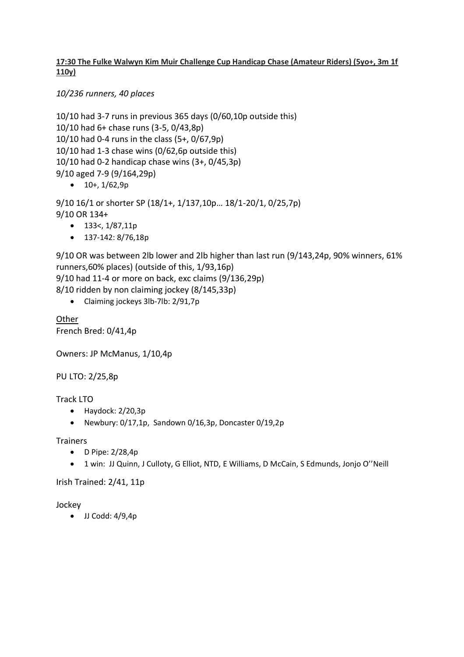**17:30 The Fulke Walwyn Kim Muir Challenge Cup Handicap Chase (Amateur Riders) (5yo+, 3m 1f 110y)**

*10/236 runners, 40 places*

```
10/10 had 3-7 runs in previous 365 days (0/60,10p outside this)
10/10 had 6+ chase runs (3-5, 0/43,8p) 
10/10 had 0-4 runs in the class (5+, 0/67,9p) 
10/10 had 1-3 chase wins (0/62,6p outside this) 
10/10 had 0-2 handicap chase wins (3+, 0/45,3p) 
9/10 aged 7-9 (9/164,29p) 
   \bullet 10+, 1/62,9p
```
9/10 16/1 or shorter SP (18/1+, 1/137,10p… 18/1-20/1, 0/25,7p) 9/10 OR 134+

- $133<, 1/87, 11p$
- 137-142: 8/76,18p

9/10 OR was between 2lb lower and 2lb higher than last run (9/143,24p, 90% winners, 61% runners,60% places) (outside of this, 1/93,16p) 9/10 had 11-4 or more on back, exc claims (9/136,29p) 8/10 ridden by non claiming jockey (8/145,33p)

• Claiming jockeys 3lb-7lb: 2/91,7p

**Other** French Bred: 0/41,4p

Owners: JP McManus, 1/10,4p

PU LTO: 2/25,8p

Track LTO

- Haydock: 2/20,3p
- Newbury: 0/17,1p, Sandown 0/16,3p, Doncaster 0/19,2p

**Trainers** 

- D Pipe: 2/28,4p
- 1 win: JJ Quinn, J Culloty, G Elliot, NTD, E Williams, D McCain, S Edmunds, Jonjo O''Neill

Irish Trained: 2/41, 11p

### Jockey

 $\bullet$  JJ Codd:  $4/9,4p$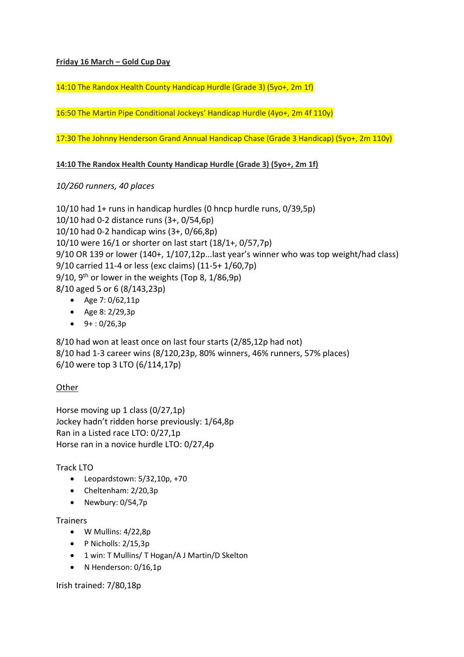## **Friday 16 March – Gold Cup Day**

14:10 The Randox Health County Handicap Hurdle (Grade 3) (5yo+, 2m 1f)

16:50 The Martin Pipe Conditional Jockeys' Handicap Hurdle (4yo+, 2m 4f 110y)

17:30 The Johnny Henderson Grand Annual Handicap Chase (Grade 3 Handicap) (5yo+, 2m 110y)

### **14:10 The Randox Health County Handicap Hurdle (Grade 3) (5yo+, 2m 1f)**

*10/260 runners, 40 places*

10/10 had 1+ runs in handicap hurdles (0 hncp hurdle runs, 0/39,5p) 10/10 had 0-2 distance runs (3+, 0/54,6p) 10/10 had 0-2 handicap wins (3+, 0/66,8p) 10/10 were 16/1 or shorter on last start (18/1+, 0/57,7p) 9/10 OR 139 or lower (140+, 1/107,12p...last year's winner who was top weight/had class) 9/10 carried 11-4 or less (exc claims) (11-5+ 1/60,7p)  $9/10$ ,  $9<sup>th</sup>$  or lower in the weights (Top 8, 1/86,9p) 8/10 aged 5 or 6 (8/143,23p) • Age 7: 0/62,11p

- 
- Age 8: 2/29,3p
- $-9+:0/26,3p$

8/10 had won at least once on last four starts (2/85,12p had not) 8/10 had 1-3 career wins (8/120,23p, 80% winners, 46% runners, 57% places) 6/10 were top 3 LTO (6/114,17p)

# **Other**

Horse moving up 1 class (0/27,1p) Jockey hadn't ridden horse previously: 1/64,8p Ran in a Listed race LTO: 0/27,1p Horse ran in a novice hurdle LTO: 0/27,4p

### Track LTO

- Leopardstown: 5/32,10p, +70
- Cheltenham: 2/20,3p
- Newbury: 0/54,7p

### **Trainers**

- $\bullet$  W Mullins:  $4/22,8p$
- P Nicholls: 2/15,3p
- 1 win: T Mullins/ T Hogan/A J Martin/D Skelton
- N Henderson: 0/16,1p

Irish trained: 7/80,18p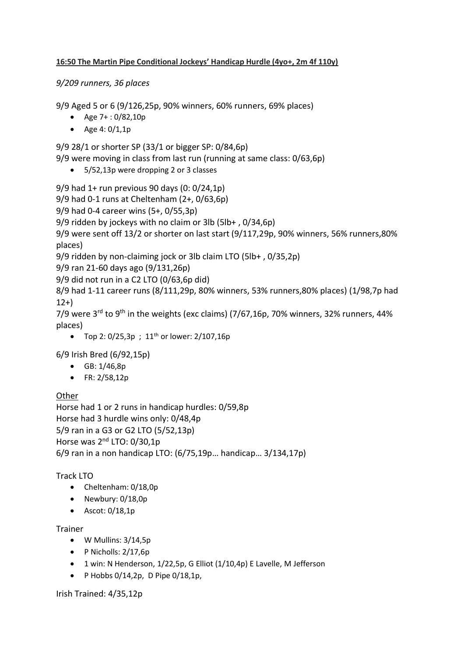# **16:50 The Martin Pipe Conditional Jockeys' Handicap Hurdle (4yo+, 2m 4f 110y)**

*9/209 runners, 36 places*

9/9 Aged 5 or 6 (9/126,25p, 90% winners, 60% runners, 69% places)

- Age 7+ : 0/82,10p
- Age  $4: 0/1, 1p$

9/9 28/1 or shorter SP (33/1 or bigger SP: 0/84,6p)

9/9 were moving in class from last run (running at same class: 0/63,6p)

• 5/52,13p were dropping 2 or 3 classes

9/9 had 1+ run previous 90 days (0: 0/24,1p)

9/9 had 0-1 runs at Cheltenham (2+, 0/63,6p)

9/9 had 0-4 career wins (5+, 0/55,3p)

9/9 ridden by jockeys with no claim or 3lb (5lb+ , 0/34,6p)

9/9 were sent off 13/2 or shorter on last start (9/117,29p, 90% winners, 56% runners,80% places)

9/9 ridden by non-claiming jock or 3lb claim LTO (5lb+ , 0/35,2p)

9/9 ran 21-60 days ago (9/131,26p)

9/9 did not run in a C2 LTO (0/63,6p did)

8/9 had 1-11 career runs (8/111,29p, 80% winners, 53% runners,80% places) (1/98,7p had  $12+$ 

7/9 were  $3^{rd}$  to  $9^{th}$  in the weights (exc claims) (7/67,16p, 70% winners, 32% runners, 44% places)

• Top 2:  $0/25.3p$ ;  $11<sup>th</sup>$  or lower:  $2/107.16p$ 

6/9 Irish Bred (6/92,15p)

- GB: 1/46,8p
- FR: 2/58,12p

# Other

Horse had 1 or 2 runs in handicap hurdles: 0/59,8p Horse had 3 hurdle wins only: 0/48,4p 5/9 ran in a G3 or G2 LTO (5/52,13p) Horse was 2<sup>nd</sup> LTO: 0/30,1p 6/9 ran in a non handicap LTO: (6/75,19p… handicap… 3/134,17p)

# Track LTO

- Cheltenham: 0/18,0p
- Newbury: 0/18,0p
- Ascot: 0/18,1p

# Trainer

- W Mullins: 3/14,5p
- P Nicholls: 2/17,6p
- 1 win: N Henderson, 1/22,5p, G Elliot (1/10,4p) E Lavelle, M Jefferson
- P Hobbs  $0/14,2p$ , D Pipe  $0/18,1p$ ,

Irish Trained: 4/35,12p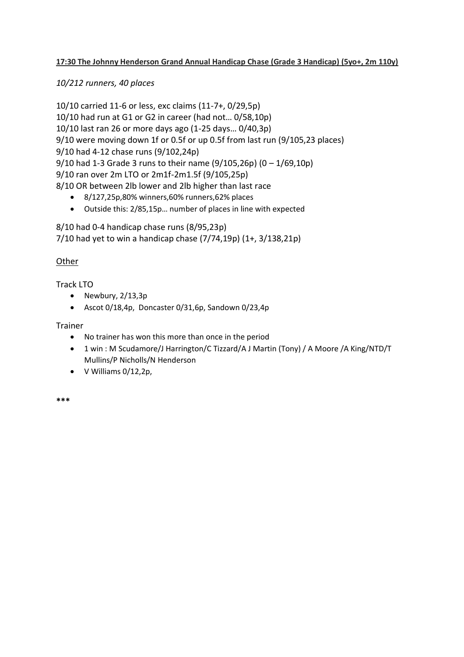# **17:30 The Johnny Henderson Grand Annual Handicap Chase (Grade 3 Handicap) (5yo+, 2m 110y)**

*10/212 runners, 40 places*

10/10 carried 11-6 or less, exc claims (11-7+, 0/29,5p) 10/10 had run at G1 or G2 in career (had not… 0/58,10p) 10/10 last ran 26 or more days ago (1-25 days… 0/40,3p) 9/10 were moving down 1f or 0.5f or up 0.5f from last run (9/105,23 places) 9/10 had 4-12 chase runs (9/102,24p) 9/10 had 1-3 Grade 3 runs to their name (9/105,26p) (0 – 1/69,10p) 9/10 ran over 2m LTO or 2m1f-2m1.5f (9/105,25p) 8/10 OR between 2lb lower and 2lb higher than last race • 8/127,25p,80% winners,60% runners,62% places

• Outside this: 2/85,15p… number of places in line with expected

8/10 had 0-4 handicap chase runs (8/95,23p) 7/10 had yet to win a handicap chase (7/74,19p) (1+, 3/138,21p)

# Other

## Track LTO

- Newbury, 2/13,3p
- Ascot 0/18,4p, Doncaster 0/31,6p, Sandown 0/23,4p

### Trainer

- No trainer has won this more than once in the period
- 1 win : M Scudamore/J Harrington/C Tizzard/A J Martin (Tony) / A Moore /A King/NTD/T Mullins/P Nicholls/N Henderson
- V Williams 0/12,2p,

**\*\*\***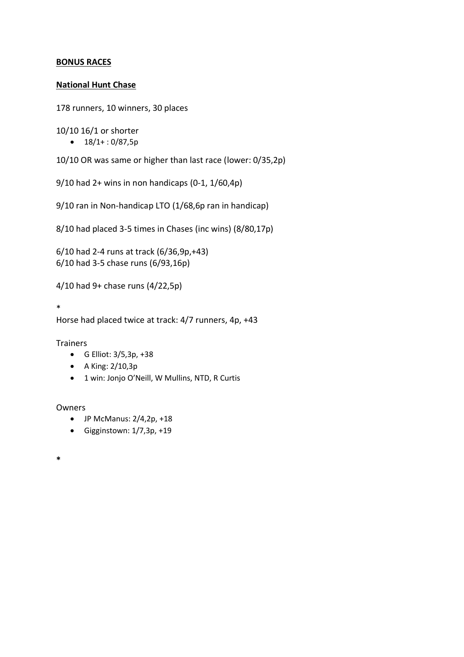## **BONUS RACES**

## **National Hunt Chase**

178 runners, 10 winners, 30 places

10/10 16/1 or shorter

•  $18/1+:0/87,5p$ 

10/10 OR was same or higher than last race (lower: 0/35,2p)

9/10 had 2+ wins in non handicaps (0-1, 1/60,4p)

9/10 ran in Non-handicap LTO (1/68,6p ran in handicap)

8/10 had placed 3-5 times in Chases (inc wins) (8/80,17p)

6/10 had 2-4 runs at track (6/36,9p,+43) 6/10 had 3-5 chase runs (6/93,16p)

4/10 had 9+ chase runs (4/22,5p)

\*

Horse had placed twice at track: 4/7 runners, 4p, +43

Trainers

- G Elliot: 3/5,3p, +38
- A King: 2/10,3p
- 1 win: Jonjo O'Neill, W Mullins, NTD, R Curtis

### Owners

- JP McManus: 2/4,2p, +18
- Gigginstown: 1/7,3p, +19

**\***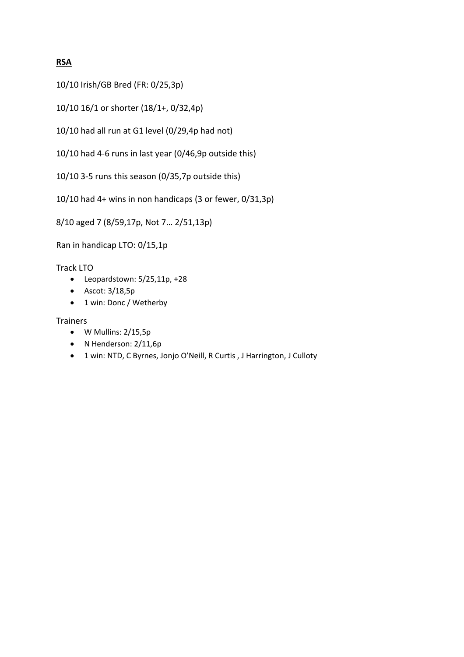# **RSA**

10/10 Irish/GB Bred (FR: 0/25,3p)

10/10 16/1 or shorter (18/1+, 0/32,4p)

10/10 had all run at G1 level (0/29,4p had not)

10/10 had 4-6 runs in last year (0/46,9p outside this)

10/10 3-5 runs this season (0/35,7p outside this)

10/10 had 4+ wins in non handicaps (3 or fewer, 0/31,3p)

8/10 aged 7 (8/59,17p, Not 7… 2/51,13p)

Ran in handicap LTO: 0/15,1p

Track LTO

- Leopardstown: 5/25,11p, +28
- Ascot: 3/18,5p
- 1 win: Donc / Wetherby

**Trainers** 

- W Mullins: 2/15,5p
- N Henderson: 2/11,6p
- 1 win: NTD, C Byrnes, Jonjo O'Neill, R Curtis , J Harrington, J Culloty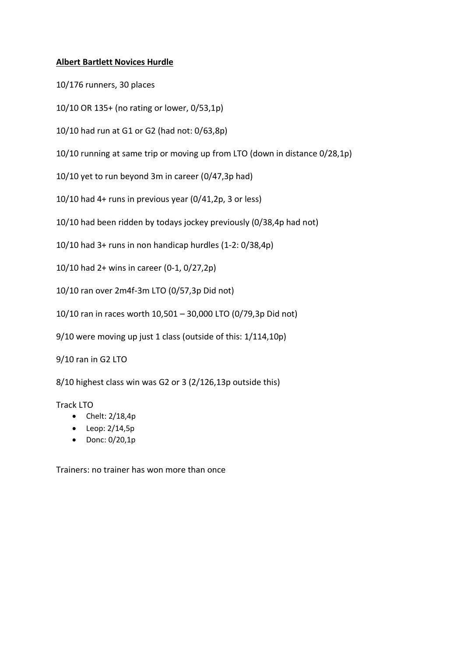# **Albert Bartlett Novices Hurdle**

10/176 runners, 30 places

- 10/10 OR 135+ (no rating or lower, 0/53,1p)
- 10/10 had run at G1 or G2 (had not: 0/63,8p)
- 10/10 running at same trip or moving up from LTO (down in distance 0/28,1p)
- 10/10 yet to run beyond 3m in career (0/47,3p had)
- 10/10 had 4+ runs in previous year (0/41,2p, 3 or less)
- 10/10 had been ridden by todays jockey previously (0/38,4p had not)
- 10/10 had 3+ runs in non handicap hurdles (1-2: 0/38,4p)
- 10/10 had 2+ wins in career (0-1, 0/27,2p)
- 10/10 ran over 2m4f-3m LTO (0/57,3p Did not)
- 10/10 ran in races worth 10,501 30,000 LTO (0/79,3p Did not)
- 9/10 were moving up just 1 class (outside of this: 1/114,10p)
- 9/10 ran in G2 LTO
- 8/10 highest class win was G2 or 3 (2/126,13p outside this)

# Track LTO

- $\bullet$  Chelt: 2/18,4p
- Leop: 2/14,5p
- Donc: 0/20,1p

Trainers: no trainer has won more than once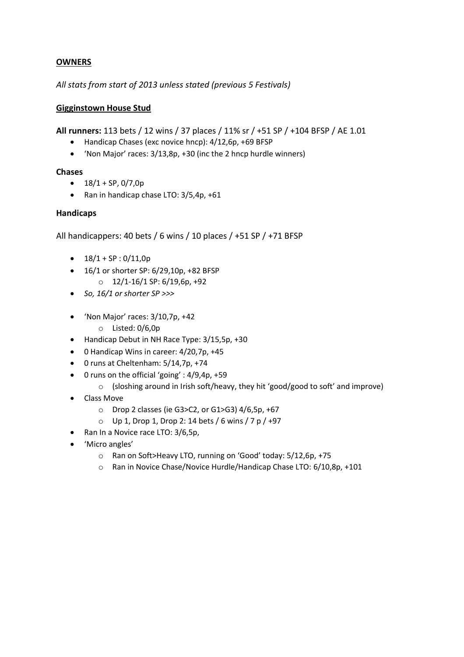# **OWNERS**

*All stats from start of 2013 unless stated (previous 5 Festivals)* 

# **Gigginstown House Stud**

**All runners:** 113 bets / 12 wins / 37 places / 11% sr / +51 SP / +104 BFSP / AE 1.01

- Handicap Chases (exc novice hncp): 4/12,6p, +69 BFSP
- 'Non Major' races: 3/13,8p, +30 (inc the 2 hncp hurdle winners)

# **Chases**

- $18/1 + SP$ , 0/7,0p
- Ran in handicap chase LTO: 3/5,4p, +61

# **Handicaps**

All handicappers: 40 bets / 6 wins / 10 places / +51 SP / +71 BFSP

- $18/1 + SP : 0/11,0p$
- 16/1 or shorter SP: 6/29,10p, +82 BFSP
	- $O$  12/1-16/1 SP: 6/19,6p, +92
- *So, 16/1 or shorter SP >>>*
- 'Non Major' races:  $3/10$ , 7p,  $+42$ 
	- o Listed: 0/6,0p
- Handicap Debut in NH Race Type: 3/15,5p, +30
- 0 Handicap Wins in career: 4/20,7p, +45
- 0 runs at Cheltenham: 5/14,7p, +74
- 0 runs on the official 'going' : 4/9,4p, +59
	- o (sloshing around in Irish soft/heavy, they hit 'good/good to soft' and improve)
- Class Move
	- $\circ$  Drop 2 classes (ie G3>C2, or G1>G3) 4/6,5p, +67
	- o Up 1, Drop 1, Drop 2: 14 bets / 6 wins / 7 p / +97
- Ran In a Novice race LTO: 3/6,5p,
- 'Micro angles'
	- o Ran on Soft>Heavy LTO, running on 'Good' today: 5/12,6p, +75
	- o Ran in Novice Chase/Novice Hurdle/Handicap Chase LTO: 6/10,8p, +101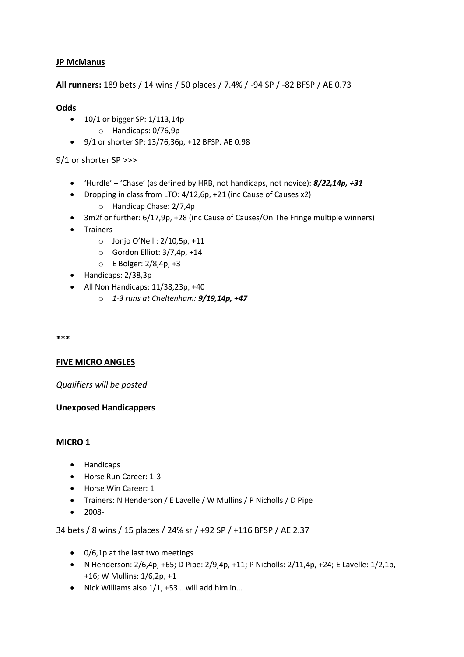## **JP McManus**

**All runners:** 189 bets / 14 wins / 50 places / 7.4% / -94 SP / -82 BFSP / AE 0.73

### **Odds**

- $10/1$  or bigger SP:  $1/113,14p$ 
	- o Handicaps: 0/76,9p
- 9/1 or shorter SP: 13/76,36p, +12 BFSP. AE 0.98

9/1 or shorter SP >>>

- 'Hurdle' + 'Chase' (as defined by HRB, not handicaps, not novice): *8/22,14p, +31*
- Dropping in class from LTO: 4/12,6p, +21 (inc Cause of Causes x2)
	- o Handicap Chase: 2/7,4p
- 3m2f or further: 6/17,9p, +28 (inc Cause of Causes/On The Fringe multiple winners)
- Trainers
	- o Jonjo O'Neill: 2/10,5p, +11
	- o Gordon Elliot: 3/7,4p, +14
	- o E Bolger: 2/8,4p, +3
- Handicaps: 2/38,3p
- All Non Handicaps: 11/38.23p. +40
	- o *1-3 runs at Cheltenham: 9/19,14p, +47*

**\*\*\***

### **FIVE MICRO ANGLES**

*Qualifiers will be posted*

### **Unexposed Handicappers**

### **MICRO 1**

- Handicaps
- Horse Run Career: 1-3
- Horse Win Career: 1
- Trainers: N Henderson / E Lavelle / W Mullins / P Nicholls / D Pipe
- 2008-

34 bets / 8 wins / 15 places / 24% sr / +92 SP / +116 BFSP / AE 2.37

- 0/6,1p at the last two meetings
- N Henderson: 2/6,4p, +65; D Pipe: 2/9,4p, +11; P Nicholls: 2/11,4p, +24; E Lavelle: 1/2,1p, +16; W Mullins: 1/6,2p, +1
- Nick Williams also 1/1, +53… will add him in…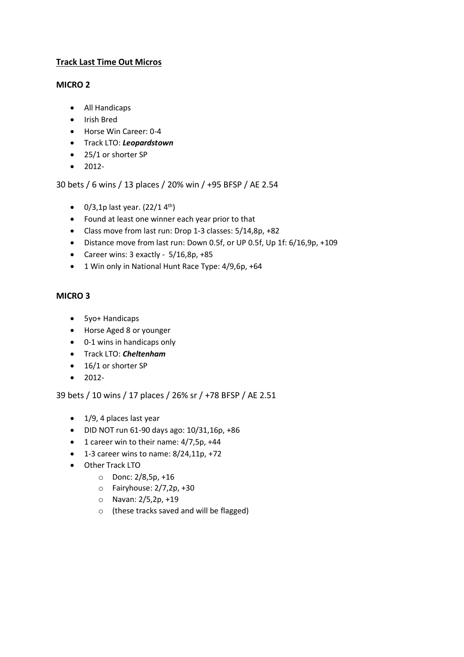# **Track Last Time Out Micros**

## **MICRO 2**

- All Handicaps
- Irish Bred
- Horse Win Career: 0-4
- Track LTO: *Leopardstown*
- 25/1 or shorter SP
- 2012-

30 bets / 6 wins / 13 places / 20% win / +95 BFSP / AE 2.54

- $0/3,1p$  last year.  $(22/1,4^{th})$
- Found at least one winner each year prior to that
- Class move from last run: Drop 1-3 classes: 5/14,8p, +82
- Distance move from last run: Down 0.5f, or UP 0.5f, Up 1f: 6/16,9p, +109
- Career wins: 3 exactly 5/16,8p, +85
- 1 Win only in National Hunt Race Type: 4/9,6p, +64

## **MICRO 3**

- 5yo+ Handicaps
- Horse Aged 8 or younger
- 0-1 wins in handicaps only
- Track LTO: *Cheltenham*
- 16/1 or shorter SP
- 2012-

39 bets / 10 wins / 17 places / 26% sr / +78 BFSP / AE 2.51

- 1/9, 4 places last year
- DID NOT run 61-90 days ago: 10/31,16p, +86
- 1 career win to their name: 4/7,5p, +44
- $\bullet$  1-3 career wins to name: 8/24,11p, +72
- Other Track LTO
	- o Donc: 2/8,5p, +16
	- o Fairyhouse: 2/7,2p, +30
	- o Navan: 2/5,2p, +19
	- o (these tracks saved and will be flagged)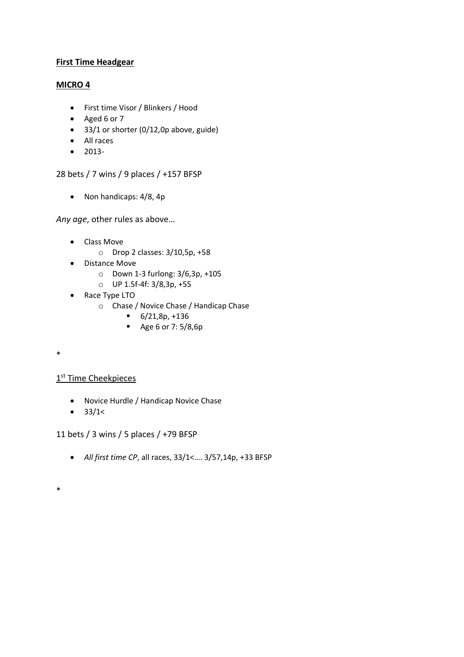# **First Time Headgear**

# **MICRO 4**

- First time Visor / Blinkers / Hood
- Aged 6 or 7
- 33/1 or shorter (0/12,0p above, guide)
- All races
- 2013-

28 bets / 7 wins / 9 places / +157 BFSP

• Non handicaps: 4/8, 4p

*Any age*, other rules as above…

- Class Move
	- o Drop 2 classes: 3/10,5p, +58
- Distance Move
	- o Down 1-3 furlong: 3/6,3p, +105
	- o UP 1.5f-4f: 3/8,3p, +55
- Race Type LTO
	- o Chase / Novice Chase / Handicap Chase
		- $-6/21,8p, +136$
		- Age 6 or 7: 5/8,6p

\*

# 1<sup>st</sup> Time Cheekpieces

- Novice Hurdle / Handicap Novice Chase
- $33/1<$

11 bets / 3 wins / 5 places / +79 BFSP

• *All first time CP*, all races, 33/1<…. 3/57,14p, +33 BFSP

\*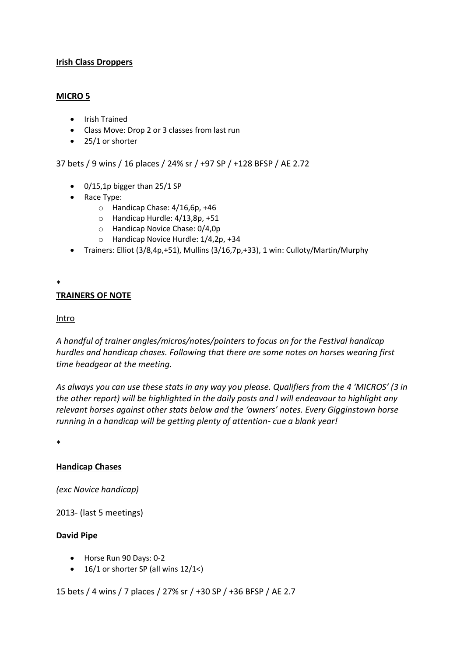### **Irish Class Droppers**

### **MICRO 5**

- Irish Trained
- Class Move: Drop 2 or 3 classes from last run
- 25/1 or shorter

37 bets / 9 wins / 16 places / 24% sr / +97 SP / +128 BFSP / AE 2.72

- 0/15,1p bigger than 25/1 SP
- Race Type:
	- o Handicap Chase: 4/16,6p, +46
	- o Handicap Hurdle: 4/13,8p, +51
	- o Handicap Novice Chase: 0/4,0p
	- o Handicap Novice Hurdle: 1/4,2p, +34
- Trainers: Elliot (3/8,4p,+51), Mullins (3/16,7p,+33), 1 win: Culloty/Martin/Murphy

# \*

## **TRAINERS OF NOTE**

### **Intro**

*A handful of trainer angles/micros/notes/pointers to focus on for the Festival handicap hurdles and handicap chases. Following that there are some notes on horses wearing first time headgear at the meeting.* 

*As always you can use these stats in any way you please. Qualifiers from the 4 'MICROS' (3 in the other report) will be highlighted in the daily posts and I will endeavour to highlight any relevant horses against other stats below and the 'owners' notes. Every Gigginstown horse running in a handicap will be getting plenty of attention- cue a blank year!* 

\*

# **Handicap Chases**

*(exc Novice handicap)* 

2013- (last 5 meetings)

# **David Pipe**

- Horse Run 90 Days: 0-2
- $\bullet$  16/1 or shorter SP (all wins 12/1<)

15 bets / 4 wins / 7 places / 27% sr / +30 SP / +36 BFSP / AE 2.7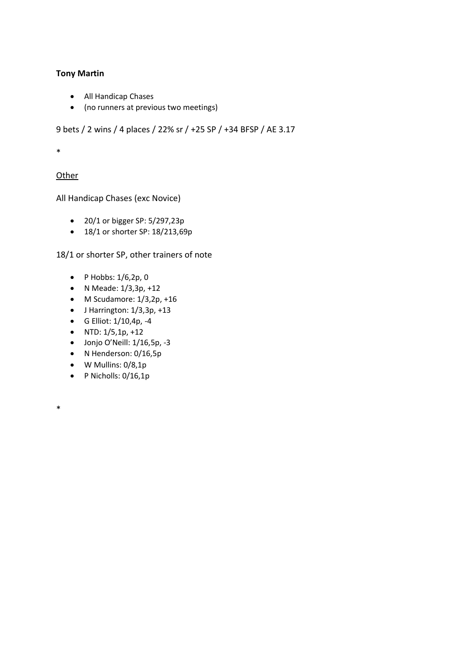## **Tony Martin**

- All Handicap Chases
- (no runners at previous two meetings)

9 bets / 2 wins / 4 places / 22% sr / +25 SP / +34 BFSP / AE 3.17

\*

\*

# Other

All Handicap Chases (exc Novice)

- 20/1 or bigger SP: 5/297,23p
- 18/1 or shorter SP: 18/213,69p

18/1 or shorter SP, other trainers of note

- P Hobbs:  $1/6, 2p, 0$
- N Meade: 1/3,3p, +12
- $\bullet$  M Scudamore:  $1/3,2p, +16$
- J Harrington: 1/3,3p, +13
- G Elliot: 1/10,4p, -4
- NTD: 1/5,1p, +12
- Jonjo O'Neill: 1/16,5p, -3
- N Henderson: 0/16,5p
- W Mullins: 0/8,1p
- P Nicholls: 0/16,1p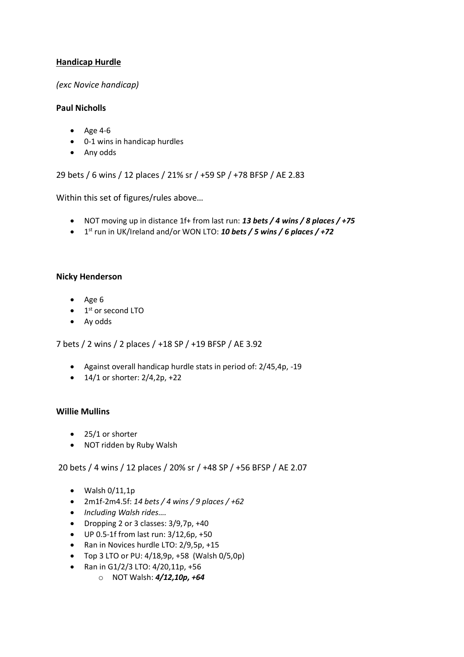# **Handicap Hurdle**

## *(exc Novice handicap)*

### **Paul Nicholls**

- Age 4-6
- 0-1 wins in handicap hurdles
- Any odds

29 bets / 6 wins / 12 places / 21% sr / +59 SP / +78 BFSP / AE 2.83

Within this set of figures/rules above…

- NOT moving up in distance 1f+ from last run: *13 bets / 4 wins / 8 places / +75*
- 1 st run in UK/Ireland and/or WON LTO: *10 bets / 5 wins / 6 places / +72*

### **Nicky Henderson**

- Age 6
- 1<sup>st</sup> or second LTO
- Ay odds

7 bets / 2 wins / 2 places / +18 SP / +19 BFSP / AE 3.92

- Against overall handicap hurdle stats in period of: 2/45,4p, -19
- $14/1$  or shorter:  $2/4$ ,  $2p$ ,  $+22$

### **Willie Mullins**

- 25/1 or shorter
- NOT ridden by Ruby Walsh

20 bets / 4 wins / 12 places / 20% sr / +48 SP / +56 BFSP / AE 2.07

- $\bullet$  Walsh 0/11,1p
- 2m1f-2m4.5f: *14 bets / 4 wins / 9 places / +62*
- *Including Walsh rides….*
- Dropping 2 or 3 classes: 3/9,7p, +40
- UP 0.5-1f from last run: 3/12,6p, +50
- Ran in Novices hurdle LTO: 2/9,5p, +15
- Top 3 LTO or PU:  $4/18,9p$ , +58 (Walsh  $0/5,0p$ )
- Ran in G1/2/3 LTO: 4/20,11p, +56
	- o NOT Walsh: *4/12,10p, +64*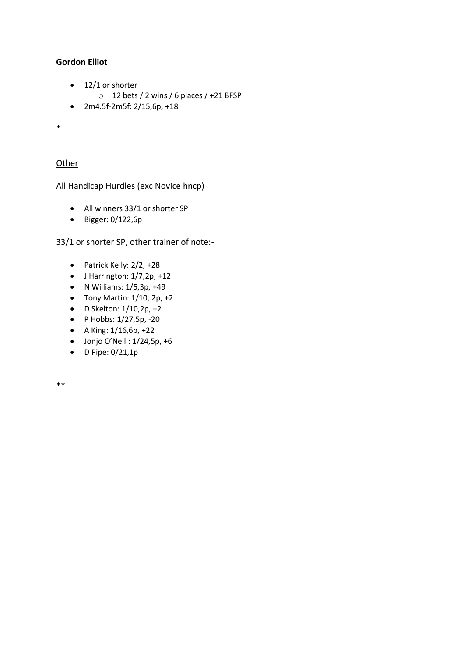## **Gordon Elliot**

- 12/1 or shorter
	- o 12 bets / 2 wins / 6 places / +21 BFSP
- 2m4.5f-2m5f: 2/15,6p, +18

\*

## **Other**

All Handicap Hurdles (exc Novice hncp)

- All winners 33/1 or shorter SP
- Bigger: 0/122,6p

33/1 or shorter SP, other trainer of note:-

- Patrick Kelly: 2/2, +28
- $\bullet$  J Harrington:  $1/7,2p, +12$
- N Williams: 1/5,3p, +49
- Tony Martin: 1/10, 2p, +2
- D Skelton:  $1/10, 2p, +2$
- P Hobbs: 1/27,5p, -20
- A King: 1/16,6p, +22
- Jonjo O'Neill: 1/24,5p, +6
- D Pipe: 0/21,1p